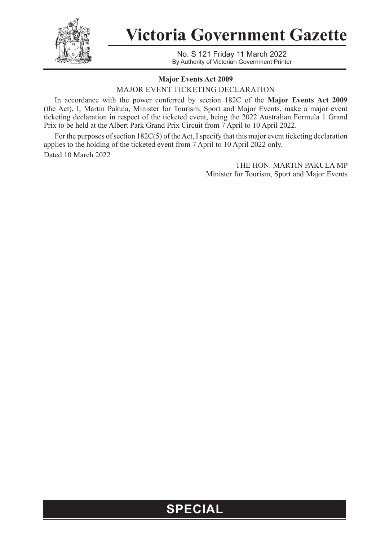

**Victoria Government Gazette**

No. S 121 Friday 11 March 2022 By Authority of Victorian Government Printer

## **Major Events Act 2009**

MAJOR EVENT TICKETING DECLARATION

In accordance with the power conferred by section 182C of the **Major Events Act 2009**  (the Act), I, Martin Pakula, Minister for Tourism, Sport and Major Events, make a major event ticketing declaration in respect of the ticketed event, being the 2022 Australian Formula 1 Grand Prix to be held at the Albert Park Grand Prix Circuit from 7 April to 10 April 2022.

For the purposes of section 182C(5) of the Act, I specify that this major event ticketing declaration applies to the holding of the ticketed event from 7 April to 10 April 2022 only. Dated 10 March 2022

> THE HON. MARTIN PAKULA MP Minister for Tourism, Sport and Major Events

## **SPECIAL**